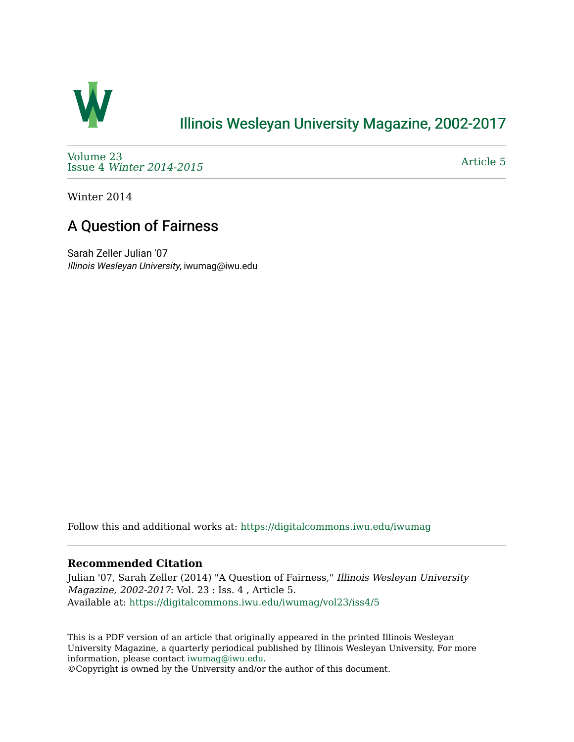

## [Illinois Wesleyan University Magazine, 2002-2017](https://digitalcommons.iwu.edu/iwumag)

[Volume 23](https://digitalcommons.iwu.edu/iwumag/vol23)  Issue 4 [Winter 2014-2015](https://digitalcommons.iwu.edu/iwumag/vol23/iss4)

[Article 5](https://digitalcommons.iwu.edu/iwumag/vol23/iss4/5) 

Winter 2014

## A Question of Fairness

Sarah Zeller Julian '07 Illinois Wesleyan University, iwumag@iwu.edu

Follow this and additional works at: [https://digitalcommons.iwu.edu/iwumag](https://digitalcommons.iwu.edu/iwumag?utm_source=digitalcommons.iwu.edu%2Fiwumag%2Fvol23%2Fiss4%2F5&utm_medium=PDF&utm_campaign=PDFCoverPages) 

## **Recommended Citation**

Julian '07, Sarah Zeller (2014) "A Question of Fairness," Illinois Wesleyan University Magazine, 2002-2017: Vol. 23 : Iss. 4 , Article 5. Available at: [https://digitalcommons.iwu.edu/iwumag/vol23/iss4/5](https://digitalcommons.iwu.edu/iwumag/vol23/iss4/5?utm_source=digitalcommons.iwu.edu%2Fiwumag%2Fvol23%2Fiss4%2F5&utm_medium=PDF&utm_campaign=PDFCoverPages)

This is a PDF version of an article that originally appeared in the printed Illinois Wesleyan University Magazine, a quarterly periodical published by Illinois Wesleyan University. For more information, please contact [iwumag@iwu.edu](mailto:iwumag@iwu.edu).

©Copyright is owned by the University and/or the author of this document.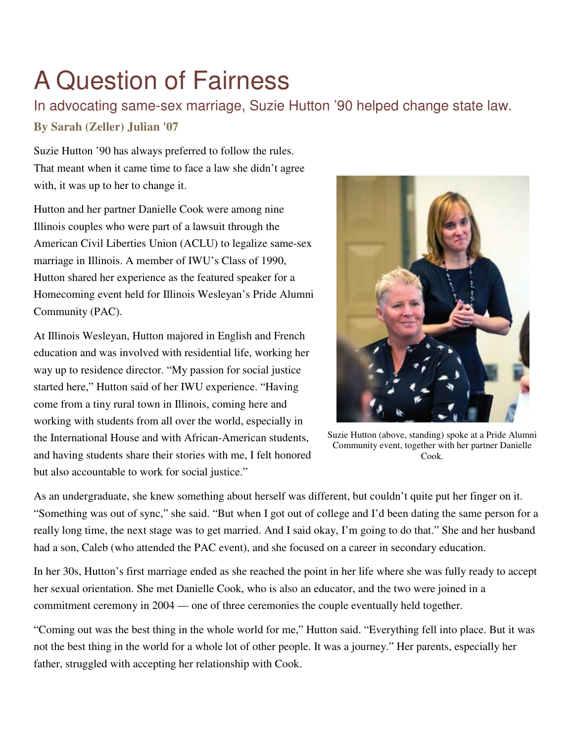## A Question of Fairness

In advocating same-sex marriage, Suzie Hutton '90 helped change state law. **By Sarah (Zeller) Julian '07**

Suzie Hutton '90 has always preferred to follow the rules. That meant when it came time to face a law she didn't agree with, it was up to her to change it.

Hutton and her partner Danielle Cook were among nine Illinois couples who were part of a lawsuit through the American Civil Liberties Union (ACLU) to legalize same-sex marriage in Illinois. A member of IWU's Class of 1990, Hutton shared her experience as the featured speaker for a Homecoming event held for Illinois Wesleyan's Pride Alumni Community (PAC).

At Illinois Wesleyan, Hutton majored in English and French education and was involved with residential life, working her way up to residence director. "My passion for social justice started here," Hutton said of her IWU experience. "Having come from a tiny rural town in Illinois, coming here and working with students from all over the world, especially in the International House and with African-American students, and having students share their stories with me, I felt honored but also accountable to work for social justice."



Suzie Hutton (above, standing) spoke at a Pride Alumni Community event, together with her partner Danielle Cook.

As an undergraduate, she knew something about herself was different, but couldn't quite put her finger on it. "Something was out of sync," she said. "But when I got out of college and I'd been dating the same person for a really long time, the next stage was to get married. And I said okay, I'm going to do that." She and her husband had a son, Caleb (who attended the PAC event), and she focused on a career in secondary education.

In her 30s, Hutton's first marriage ended as she reached the point in her life where she was fully ready to accept her sexual orientation. She met Danielle Cook, who is also an educator, and the two were joined in a commitment ceremony in 2004 — one of three ceremonies the couple eventually held together.

"Coming out was the best thing in the whole world for me," Hutton said. "Everything fell into place. But it was not the best thing in the world for a whole lot of other people. It was a journey." Her parents, especially her father, struggled with accepting her relationship with Cook.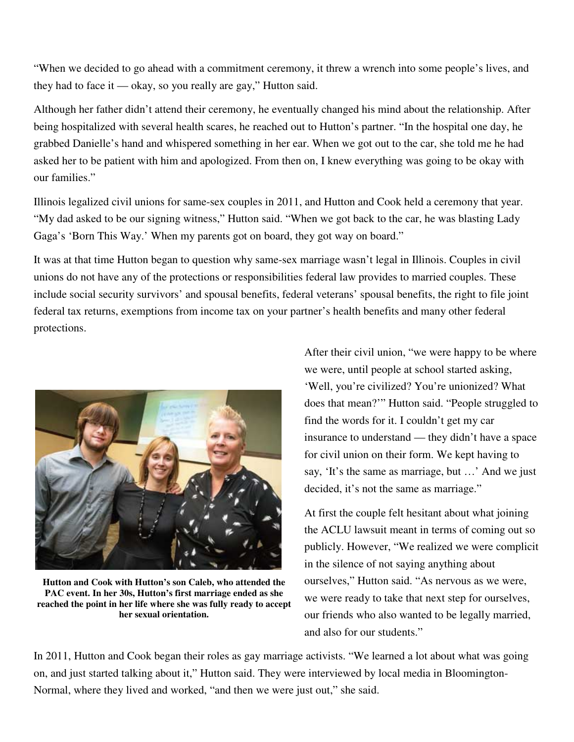"When we decided to go ahead with a commitment ceremony, it threw a wrench into some people's lives, and they had to face it — okay, so you really are gay," Hutton said.

Although her father didn't attend their ceremony, he eventually changed his mind about the relationship. After being hospitalized with several health scares, he reached out to Hutton's partner. "In the hospital one day, he grabbed Danielle's hand and whispered something in her ear. When we got out to the car, she told me he had asked her to be patient with him and apologized. From then on, I knew everything was going to be okay with our families."

Illinois legalized civil unions for same-sex couples in 2011, and Hutton and Cook held a ceremony that year. "My dad asked to be our signing witness," Hutton said. "When we got back to the car, he was blasting Lady Gaga's 'Born This Way.' When my parents got on board, they got way on board."

It was at that time Hutton began to question why same-sex marriage wasn't legal in Illinois. Couples in civil unions do not have any of the protections or responsibilities federal law provides to married couples. These include social security survivors' and spousal benefits, federal veterans' spousal benefits, the right to file joint federal tax returns, exemptions from income tax on your partner's health benefits and many other federal protections.



**Hutton and Cook with Hutton's son Caleb, who attended the PAC event. In her 30s, Hutton's first marriage ended as she reached the point in her life where she was fully ready to accept her sexual orientation.** 

After their civil union, "we were happy to be where we were, until people at school started asking, 'Well, you're civilized? You're unionized? What does that mean?'" Hutton said. "People struggled to find the words for it. I couldn't get my car insurance to understand — they didn't have a space for civil union on their form. We kept having to say, 'It's the same as marriage, but …' And we just decided, it's not the same as marriage."

At first the couple felt hesitant about what joining the ACLU lawsuit meant in terms of coming out so publicly. However, "We realized we were complicit in the silence of not saying anything about ourselves," Hutton said. "As nervous as we were, we were ready to take that next step for ourselves, our friends who also wanted to be legally married, and also for our students."

In 2011, Hutton and Cook began their roles as gay marriage activists. "We learned a lot about what was going on, and just started talking about it," Hutton said. They were interviewed by local media in Bloomington-Normal, where they lived and worked, "and then we were just out," she said.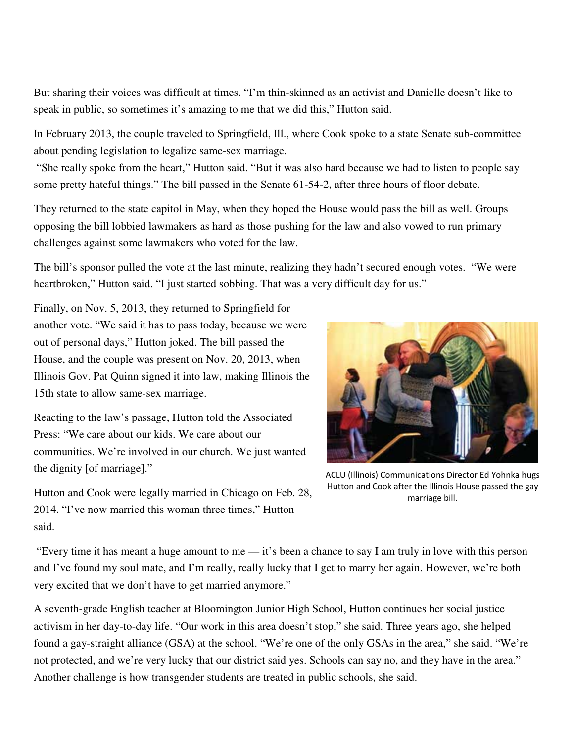But sharing their voices was difficult at times. "I'm thin-skinned as an activist and Danielle doesn't like to speak in public, so sometimes it's amazing to me that we did this," Hutton said.

In February 2013, the couple traveled to Springfield, Ill., where Cook spoke to a state Senate sub-committee about pending legislation to legalize same-sex marriage.

 "She really spoke from the heart," Hutton said. "But it was also hard because we had to listen to people say some pretty hateful things." The bill passed in the Senate 61-54-2, after three hours of floor debate.

They returned to the state capitol in May, when they hoped the House would pass the bill as well. Groups opposing the bill lobbied lawmakers as hard as those pushing for the law and also vowed to run primary challenges against some lawmakers who voted for the law.

The bill's sponsor pulled the vote at the last minute, realizing they hadn't secured enough votes. "We were heartbroken," Hutton said. "I just started sobbing. That was a very difficult day for us."

Finally, on Nov. 5, 2013, they returned to Springfield for another vote. "We said it has to pass today, because we were out of personal days," Hutton joked. The bill passed the House, and the couple was present on Nov. 20, 2013, when Illinois Gov. Pat Quinn signed it into law, making Illinois the 15th state to allow same-sex marriage.

Reacting to the law's passage, Hutton told the Associated Press: "We care about our kids. We care about our communities. We're involved in our church. We just wanted the dignity [of marriage]."



ACLU (Illinois) Communications Director Ed Yohnka hugs Hutton and Cook after the Illinois House passed the gay marriage bill.

Hutton and Cook were legally married in Chicago on Feb. 28, 2014. "I've now married this woman three times," Hutton said.

 "Every time it has meant a huge amount to me — it's been a chance to say I am truly in love with this person and I've found my soul mate, and I'm really, really lucky that I get to marry her again. However, we're both very excited that we don't have to get married anymore."

A seventh-grade English teacher at Bloomington Junior High School, Hutton continues her social justice activism in her day-to-day life. "Our work in this area doesn't stop," she said. Three years ago, she helped found a gay-straight alliance (GSA) at the school. "We're one of the only GSAs in the area," she said. "We're not protected, and we're very lucky that our district said yes. Schools can say no, and they have in the area." Another challenge is how transgender students are treated in public schools, she said.